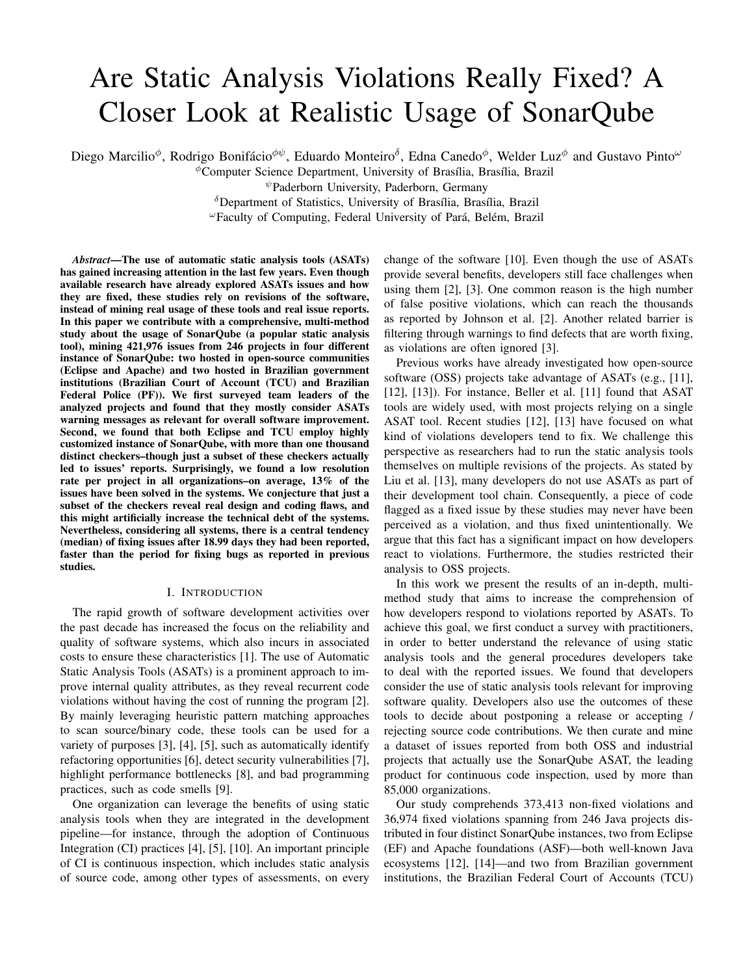# Are Static Analysis Violations Really Fixed? A Closer Look at Realistic Usage of SonarQube

Diego Marcilio<sup> $\phi$ </sup>, Rodrigo Bonifácio $^{\phi\psi}$ , Eduardo Monteiro<sup> $\delta$ </sup>, Edna Canedo $^{\phi}$ , Welder Luz $^{\phi}$  and Gustavo Pinto $^{\omega}$ 

 $\phi$ Computer Science Department, University of Brasília, Brasília, Brazil

 $\psi$ Paderborn University, Paderborn, Germany

 $\delta$ Department of Statistics, University of Brasília, Brasília, Brazil

<sup>ω</sup>Faculty of Computing, Federal University of Pará, Belém, Brazil

*Abstract*—The use of automatic static analysis tools (ASATs) has gained increasing attention in the last few years. Even though available research have already explored ASATs issues and how they are fixed, these studies rely on revisions of the software, instead of mining real usage of these tools and real issue reports. In this paper we contribute with a comprehensive, multi-method study about the usage of SonarQube (a popular static analysis tool), mining 421,976 issues from 246 projects in four different instance of SonarQube: two hosted in open-source communities (Eclipse and Apache) and two hosted in Brazilian government institutions (Brazilian Court of Account (TCU) and Brazilian Federal Police (PF)). We first surveyed team leaders of the analyzed projects and found that they mostly consider ASATs warning messages as relevant for overall software improvement. Second, we found that both Eclipse and TCU employ highly customized instance of SonarQube, with more than one thousand distinct checkers–though just a subset of these checkers actually led to issues' reports. Surprisingly, we found a low resolution rate per project in all organizations–on average, 13% of the issues have been solved in the systems. We conjecture that just a subset of the checkers reveal real design and coding flaws, and this might artificially increase the technical debt of the systems. Nevertheless, considering all systems, there is a central tendency (median) of fixing issues after 18.99 days they had been reported, faster than the period for fixing bugs as reported in previous studies.

#### I. INTRODUCTION

The rapid growth of software development activities over the past decade has increased the focus on the reliability and quality of software systems, which also incurs in associated costs to ensure these characteristics [\[1\]](#page-9-0). The use of Automatic Static Analysis Tools (ASATs) is a prominent approach to improve internal quality attributes, as they reveal recurrent code violations without having the cost of running the program [\[2\]](#page-9-1). By mainly leveraging heuristic pattern matching approaches to scan source/binary code, these tools can be used for a variety of purposes [\[3\]](#page-9-2), [\[4\]](#page-9-3), [\[5\]](#page-9-4), such as automatically identify refactoring opportunities [\[6\]](#page-9-5), detect security vulnerabilities [\[7\]](#page-9-6), highlight performance bottlenecks [\[8\]](#page-9-7), and bad programming practices, such as code smells [\[9\]](#page-9-8).

One organization can leverage the benefits of using static analysis tools when they are integrated in the development pipeline—for instance, through the adoption of Continuous Integration (CI) practices [\[4\]](#page-9-3), [\[5\]](#page-9-4), [\[10\]](#page-9-9). An important principle of CI is continuous inspection, which includes static analysis of source code, among other types of assessments, on every

change of the software [\[10\]](#page-9-9). Even though the use of ASATs provide several benefits, developers still face challenges when using them [\[2\]](#page-9-1), [\[3\]](#page-9-2). One common reason is the high number of false positive violations, which can reach the thousands as reported by Johnson et al. [\[2\]](#page-9-1). Another related barrier is filtering through warnings to find defects that are worth fixing, as violations are often ignored [\[3\]](#page-9-2).

Previous works have already investigated how open-source software (OSS) projects take advantage of ASATs (e.g., [\[11\]](#page-9-10), [\[12\]](#page-10-0), [\[13\]](#page-10-1)). For instance, Beller et al. [\[11\]](#page-9-10) found that ASAT tools are widely used, with most projects relying on a single ASAT tool. Recent studies [\[12\]](#page-10-0), [\[13\]](#page-10-1) have focused on what kind of violations developers tend to fix. We challenge this perspective as researchers had to run the static analysis tools themselves on multiple revisions of the projects. As stated by Liu et al. [\[13\]](#page-10-1), many developers do not use ASATs as part of their development tool chain. Consequently, a piece of code flagged as a fixed issue by these studies may never have been perceived as a violation, and thus fixed unintentionally. We argue that this fact has a significant impact on how developers react to violations. Furthermore, the studies restricted their analysis to OSS projects.

In this work we present the results of an in-depth, multimethod study that aims to increase the comprehension of how developers respond to violations reported by ASATs. To achieve this goal, we first conduct a survey with practitioners, in order to better understand the relevance of using static analysis tools and the general procedures developers take to deal with the reported issues. We found that developers consider the use of static analysis tools relevant for improving software quality. Developers also use the outcomes of these tools to decide about postponing a release or accepting / rejecting source code contributions. We then curate and mine a dataset of issues reported from both OSS and industrial projects that actually use the SonarQube ASAT, the leading product for continuous code inspection, used by more than 85,000 organizations.

Our study comprehends 373,413 non-fixed violations and 36,974 fixed violations spanning from 246 Java projects distributed in four distinct SonarQube instances, two from Eclipse (EF) and Apache foundations (ASF)—both well-known Java ecosystems [\[12\]](#page-10-0), [\[14\]](#page-10-2)—and two from Brazilian government institutions, the Brazilian Federal Court of Accounts (TCU)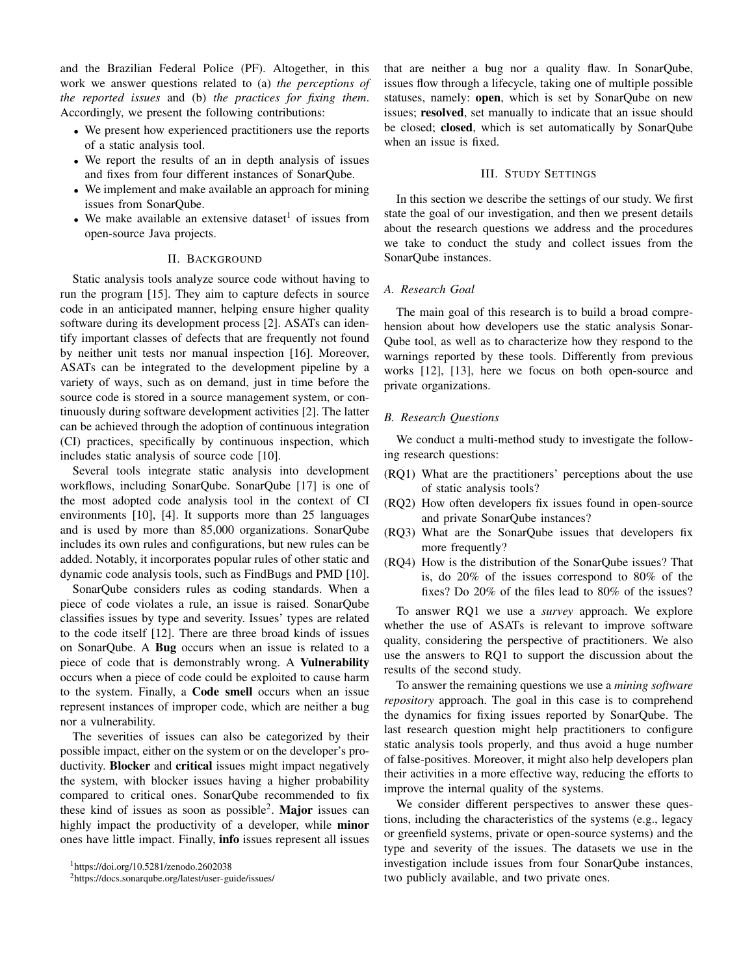and the Brazilian Federal Police (PF). Altogether, in this work we answer questions related to (a) *the perceptions of the reported issues* and (b) *the practices for fixing them*. Accordingly, we present the following contributions:

- We present how experienced practitioners use the reports of a static analysis tool.
- We report the results of an in depth analysis of issues and fixes from four different instances of SonarQube.
- We implement and make available an approach for mining issues from SonarQube.
- We make available an extensive dataset<sup>[1](#page-1-0)</sup> of issues from open-source Java projects.

#### II. BACKGROUND

<span id="page-1-2"></span>Static analysis tools analyze source code without having to run the program [\[15\]](#page-10-3). They aim to capture defects in source code in an anticipated manner, helping ensure higher quality software during its development process [\[2\]](#page-9-1). ASATs can identify important classes of defects that are frequently not found by neither unit tests nor manual inspection [\[16\]](#page-10-4). Moreover, ASATs can be integrated to the development pipeline by a variety of ways, such as on demand, just in time before the source code is stored in a source management system, or continuously during software development activities [\[2\]](#page-9-1). The latter can be achieved through the adoption of continuous integration (CI) practices, specifically by continuous inspection, which includes static analysis of source code [\[10\]](#page-9-9).

Several tools integrate static analysis into development workflows, including SonarQube. SonarQube [\[17\]](#page-10-5) is one of the most adopted code analysis tool in the context of CI environments [\[10\]](#page-9-9), [\[4\]](#page-9-3). It supports more than 25 languages and is used by more than 85,000 organizations. SonarQube includes its own rules and configurations, but new rules can be added. Notably, it incorporates popular rules of other static and dynamic code analysis tools, such as FindBugs and PMD [\[10\]](#page-9-9).

SonarQube considers rules as coding standards. When a piece of code violates a rule, an issue is raised. SonarQube classifies issues by type and severity. Issues' types are related to the code itself [\[12\]](#page-10-0). There are three broad kinds of issues on SonarQube. A Bug occurs when an issue is related to a piece of code that is demonstrably wrong. A Vulnerability occurs when a piece of code could be exploited to cause harm to the system. Finally, a Code smell occurs when an issue represent instances of improper code, which are neither a bug nor a vulnerability.

The severities of issues can also be categorized by their possible impact, either on the system or on the developer's productivity. **Blocker** and **critical** issues might impact negatively the system, with blocker issues having a higher probability compared to critical ones. SonarQube recommended to fix these kind of issues as soon as possible<sup>[2](#page-1-1)</sup>. Major issues can highly impact the productivity of a developer, while **minor** ones have little impact. Finally, info issues represent all issues that are neither a bug nor a quality flaw. In SonarQube, issues flow through a lifecycle, taking one of multiple possible statuses, namely: open, which is set by SonarQube on new issues; resolved, set manually to indicate that an issue should be closed; closed, which is set automatically by SonarQube when an issue is fixed.

## III. STUDY SETTINGS

In this section we describe the settings of our study. We first state the goal of our investigation, and then we present details about the research questions we address and the procedures we take to conduct the study and collect issues from the SonarQube instances.

## *A. Research Goal*

The main goal of this research is to build a broad comprehension about how developers use the static analysis Sonar-Qube tool, as well as to characterize how they respond to the warnings reported by these tools. Differently from previous works [\[12\]](#page-10-0), [\[13\]](#page-10-1), here we focus on both open-source and private organizations.

#### *B. Research Questions*

We conduct a multi-method study to investigate the following research questions:

- (RQ1) What are the practitioners' perceptions about the use of static analysis tools?
- (RQ2) How often developers fix issues found in open-source and private SonarQube instances?
- (RQ3) What are the SonarQube issues that developers fix more frequently?
- (RQ4) How is the distribution of the SonarQube issues? That is, do 20% of the issues correspond to 80% of the fixes? Do 20% of the files lead to 80% of the issues?

To answer RQ1 we use a *survey* approach. We explore whether the use of ASATs is relevant to improve software quality, considering the perspective of practitioners. We also use the answers to RQ1 to support the discussion about the results of the second study.

To answer the remaining questions we use a *mining software repository* approach. The goal in this case is to comprehend the dynamics for fixing issues reported by SonarQube. The last research question might help practitioners to configure static analysis tools properly, and thus avoid a huge number of false-positives. Moreover, it might also help developers plan their activities in a more effective way, reducing the efforts to improve the internal quality of the systems.

We consider different perspectives to answer these questions, including the characteristics of the systems (e.g., legacy or greenfield systems, private or open-source systems) and the type and severity of the issues. The datasets we use in the investigation include issues from four SonarQube instances, two publicly available, and two private ones.

<span id="page-1-0"></span><sup>1</sup><https://doi.org/10.5281/zenodo.2602038>

<span id="page-1-1"></span><sup>2</sup><https://docs.sonarqube.org/latest/user-guide/issues/>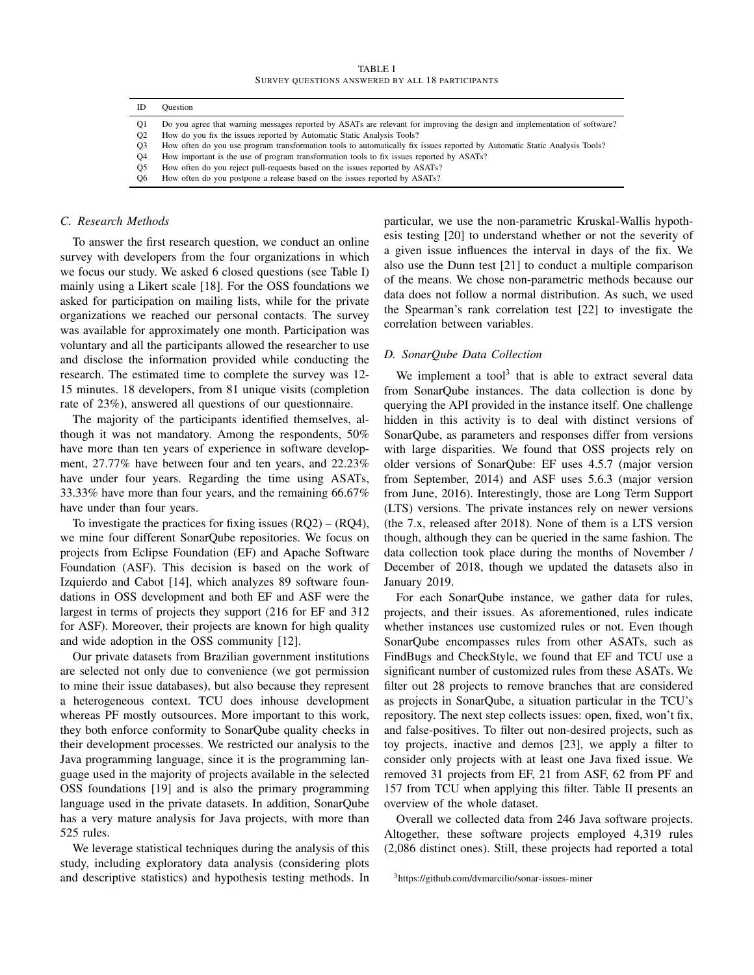TABLE I SURVEY QUESTIONS ANSWERED BY ALL 18 PARTICIPANTS

<span id="page-2-0"></span>

| ID             | <b>Ouestion</b>                                                                                                            |
|----------------|----------------------------------------------------------------------------------------------------------------------------|
| Q1             | Do you agree that warning messages reported by ASATs are relevant for improving the design and implementation of software? |
| Q <sub>2</sub> | How do you fix the issues reported by Automatic Static Analysis Tools?                                                     |
| Q <sub>3</sub> | How often do you use program transformation tools to automatically fix issues reported by Automatic Static Analysis Tools? |
| O4             | How important is the use of program transformation tools to fix issues reported by ASATs?                                  |
| Q5             | How often do you reject pull-requests based on the issues reported by ASATs?                                               |
| O6             | How often do you postpone a release based on the issues reported by ASATs?                                                 |

## *C. Research Methods*

To answer the first research question, we conduct an online survey with developers from the four organizations in which we focus our study. We asked 6 closed questions (see Table [I\)](#page-2-0) mainly using a Likert scale [\[18\]](#page-10-6). For the OSS foundations we asked for participation on mailing lists, while for the private organizations we reached our personal contacts. The survey was available for approximately one month. Participation was voluntary and all the participants allowed the researcher to use and disclose the information provided while conducting the research. The estimated time to complete the survey was 12- 15 minutes. 18 developers, from 81 unique visits (completion rate of 23%), answered all questions of our questionnaire.

The majority of the participants identified themselves, although it was not mandatory. Among the respondents, 50% have more than ten years of experience in software development, 27.77% have between four and ten years, and 22.23% have under four years. Regarding the time using ASATs, 33.33% have more than four years, and the remaining 66.67% have under than four years.

To investigate the practices for fixing issues  $(RQ2) - (RQ4)$ , we mine four different SonarQube repositories. We focus on projects from [Eclipse Foundation](https://www.eclipse.org/org/) (EF) and [Apache Software](https://www.apache.org/foundation/) [Foundation](https://www.apache.org/foundation/) (ASF). This decision is based on the work of Izquierdo and Cabot [\[14\]](#page-10-2), which analyzes 89 software foundations in OSS development and both EF and ASF were the largest in terms of projects they support (216 for EF and 312 for ASF). Moreover, their projects are known for high quality and wide adoption in the OSS community [\[12\]](#page-10-0).

Our private datasets from Brazilian government institutions are selected not only due to convenience (we got permission to mine their issue databases), but also because they represent a heterogeneous context. TCU does inhouse development whereas PF mostly outsources. More important to this work, they both enforce conformity to SonarQube quality checks in their development processes. We restricted our analysis to the Java programming language, since it is the programming language used in the majority of projects available in the selected OSS foundations [\[19\]](#page-10-7) and is also the primary programming language used in the private datasets. In addition, [SonarQube](https://www.sonarsource.com/products/codeanalyzers/sonarjava.html) has a very mature analysis for Java projects, with more than 525 rules.

We leverage statistical techniques during the analysis of this study, including exploratory data analysis (considering plots and descriptive statistics) and hypothesis testing methods. In particular, we use the non-parametric Kruskal-Wallis hypothesis testing [\[20\]](#page-10-8) to understand whether or not the severity of a given issue influences the interval in days of the fix. We also use the Dunn test [\[21\]](#page-10-9) to conduct a multiple comparison of the means. We chose non-parametric methods because our data does not follow a normal distribution. As such, we used the Spearman's rank correlation test [\[22\]](#page-10-10) to investigate the correlation between variables.

## *D. SonarQube Data Collection*

We implement a tool $3$  that is able to extract several data from SonarQube instances. The data collection is done by querying the API provided in the instance itself. One challenge hidden in this activity is to deal with distinct versions of [SonarQube,](https://www.sonarqube.org/downloads/) as parameters and responses differ from versions with large disparities. We found that OSS projects rely on older versions of SonarQube: EF uses 4.5.7 (major version from September, 2014) and ASF uses 5.6.3 (major version from June, 2016). Interestingly, those are Long Term Support (LTS) versions. The private instances rely on newer versions (the 7.x, released after 2018). None of them is a LTS version though, although they can be queried in the same fashion. The data collection took place during the months of November / December of 2018, though we updated the datasets also in January 2019.

For each SonarQube instance, we gather data for rules, projects, and their issues. As aforementioned, rules indicate whether instances use customized rules or not. Even though SonarQube encompasses rules from other ASATs, such as FindBugs and CheckStyle, we found that EF and TCU use a significant number of customized rules from these ASATs. We filter out 28 projects to remove branches that are considered as projects in SonarQube, a situation particular in the TCU's repository. The next step collects issues: open, fixed, won't fix, and false-positives. To filter out non-desired projects, such as toy projects, inactive and demos [\[23\]](#page-10-11), we apply a filter to consider only projects with at least one Java fixed issue. We removed 31 projects from EF, 21 from ASF, 62 from PF and 157 from TCU when applying this filter. Table [II](#page-3-0) presents an overview of the whole dataset.

Overall we collected data from 246 Java software projects. Altogether, these software projects employed 4,319 rules (2,086 distinct ones). Still, these projects had reported a total

<span id="page-2-1"></span><sup>3</sup><https://github.com/dvmarcilio/sonar-issues-miner>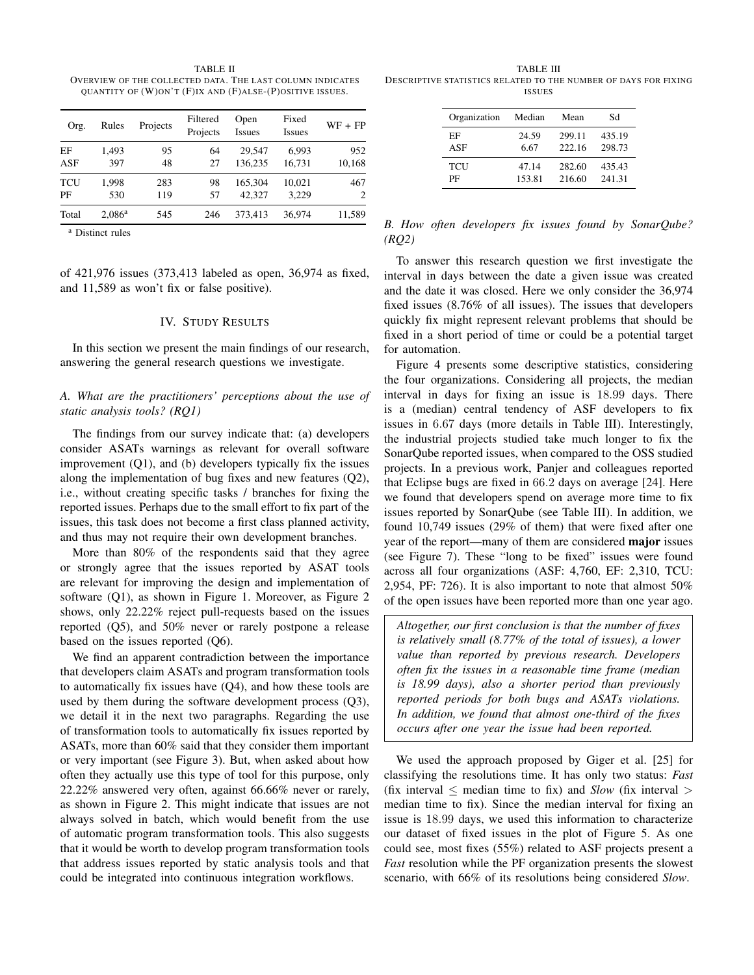<span id="page-3-0"></span>TABLE II OVERVIEW OF THE COLLECTED DATA. THE LAST COLUMN INDICATES QUANTITY OF (W)ON'T (F)IX AND (F)ALSE-(P)OSITIVE ISSUES.

| Org.       | Rules              | Projects | Filtered<br>Projects | Open<br>Issues | Fixed<br><b>Issues</b> | $WF + FP$      |
|------------|--------------------|----------|----------------------|----------------|------------------------|----------------|
| EF         | 1.493              | 95       | 64                   | 29.547         | 6.993                  | 952            |
| ASF        | 397                | 48       | 27                   | 136.235        | 16.731                 | 10,168         |
| <b>TCU</b> | 1.998              | 283      | 98                   | 165,304        | 10,021                 | 467            |
| PF         | 530                | 119      | 57                   | 42.327         | 3,229                  | $\overline{c}$ |
| Total      | 2.086 <sup>a</sup> | 545      | 246                  | 373.413        | 36,974                 | 11,589         |
|            |                    |          |                      |                |                        |                |

<sup>a</sup> Distinct rules

of 421,976 issues (373,413 labeled as open, 36,974 as fixed, and 11,589 as won't fix or false positive).

## IV. STUDY RESULTS

In this section we present the main findings of our research, answering the general research questions we investigate.

# *A. What are the practitioners' perceptions about the use of static analysis tools? (RQ1)*

The findings from our survey indicate that: (a) developers consider ASATs warnings as relevant for overall software improvement (Q1), and (b) developers typically fix the issues along the implementation of bug fixes and new features (Q2), i.e., without creating specific tasks / branches for fixing the reported issues. Perhaps due to the small effort to fix part of the issues, this task does not become a first class planned activity, and thus may not require their own development branches.

More than 80% of the respondents said that they agree or strongly agree that the issues reported by ASAT tools are relevant for improving the design and implementation of software (Q1), as shown in Figure [1.](#page-4-0) Moreover, as Figure [2](#page-4-1) shows, only 22.22% reject pull-requests based on the issues reported (Q5), and 50% never or rarely postpone a release based on the issues reported (Q6).

We find an apparent contradiction between the importance that developers claim ASATs and program transformation tools to automatically fix issues have  $(Q4)$ , and how these tools are used by them during the software development process (Q3), we detail it in the next two paragraphs. Regarding the use of transformation tools to automatically fix issues reported by ASATs, more than 60% said that they consider them important or very important (see Figure [3\)](#page-4-2). But, when asked about how often they actually use this type of tool for this purpose, only 22.22% answered very often, against 66.66% never or rarely, as shown in Figure [2.](#page-4-1) This might indicate that issues are not always solved in batch, which would benefit from the use of automatic program transformation tools. This also suggests that it would be worth to develop program transformation tools that address issues reported by static analysis tools and that could be integrated into continuous integration workflows.

<span id="page-3-1"></span>TABLE III DESCRIPTIVE STATISTICS RELATED TO THE NUMBER OF DAYS FOR FIXING ISSUES

| Organization | Median | Mean   | Sd     |
|--------------|--------|--------|--------|
| ЕF           | 24.59  | 299.11 | 435.19 |
| ASF          | 6.67   | 222.16 | 298.73 |
| TCU          | 47.14  | 282.60 | 435.43 |
| PF           | 153.81 | 216.60 | 241.31 |

# *B. How often developers fix issues found by SonarQube? (RQ2)*

To answer this research question we first investigate the interval in days between the date a given issue was created and the date it was closed. Here we only consider the 36,974 fixed issues (8.76% of all issues). The issues that developers quickly fix might represent relevant problems that should be fixed in a short period of time or could be a potential target for automation.

Figure [4](#page-4-3) presents some descriptive statistics, considering the four organizations. Considering all projects, the median interval in days for fixing an issue is 18.99 days. There is a (median) central tendency of ASF developers to fix issues in 6.67 days (more details in Table [III\)](#page-3-1). Interestingly, the industrial projects studied take much longer to fix the SonarQube reported issues, when compared to the OSS studied projects. In a previous work, Panjer and colleagues reported that Eclipse bugs are fixed in 66.2 days on average [\[24\]](#page-10-12). Here we found that developers spend on average more time to fix issues reported by SonarQube (see Table [III\)](#page-3-1). In addition, we found 10,749 issues (29% of them) that were fixed after one year of the report—many of them are considered major issues (see Figure [7\)](#page-5-0). These "long to be fixed" issues were found across all four organizations (ASF: 4,760, EF: 2,310, TCU: 2,954, PF: 726). It is also important to note that almost 50% of the open issues have been reported more than one year ago.

*Altogether, our first conclusion is that the number of fixes is relatively small (8.77% of the total of issues), a lower value than reported by previous research. Developers often fix the issues in a reasonable time frame (median is 18.99 days), also a shorter period than previously reported periods for both bugs and ASATs violations. In addition, we found that almost one-third of the fixes occurs after one year the issue had been reported.*

We used the approach proposed by Giger et al. [\[25\]](#page-10-13) for classifying the resolutions time. It has only two status: *Fast* (fix interval  $\leq$  median time to fix) and *Slow* (fix interval  $>$ median time to fix). Since the median interval for fixing an issue is 18.99 days, we used this information to characterize our dataset of fixed issues in the plot of Figure [5.](#page-4-4) As one could see, most fixes (55%) related to ASF projects present a *Fast* resolution while the PF organization presents the slowest scenario, with 66% of its resolutions being considered *Slow*.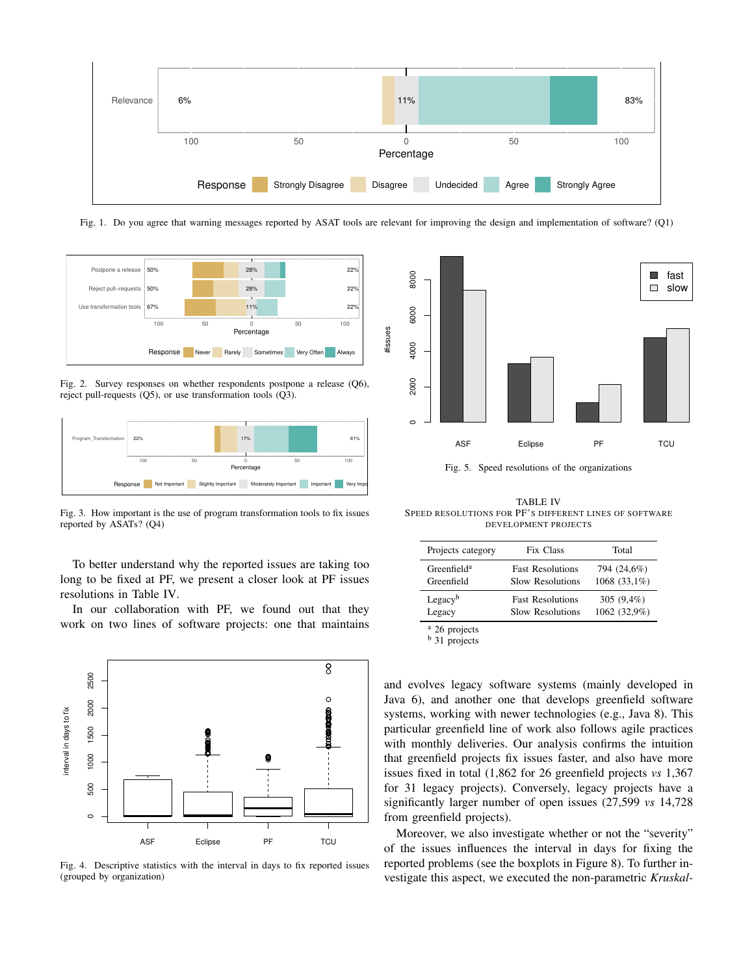

<span id="page-4-0"></span>Fig. 1. Do you agree that warning messages reported by ASAT tools are relevant for improving the design and implementation of software? (Q1)



<span id="page-4-1"></span>Fig. 2. Survey responses on whether respondents postpone a release (Q6), reject pull-requests (Q5), or use transformation tools (Q3).



<span id="page-4-2"></span>Fig. 3. How important is the use of program transformation tools to fix issues reported by ASATs? (Q4)

To better understand why the reported issues are taking too long to be fixed at PF, we present a closer look at PF issues resolutions in Table [IV.](#page-4-5)

In our collaboration with PF, we found out that they work on two lines of software projects: one that maintains



<span id="page-4-3"></span>Fig. 4. Descriptive statistics with the interval in days to fix reported issues (grouped by organization)



<span id="page-4-4"></span>Fig. 5. Speed resolutions of the organizations

<span id="page-4-5"></span>TABLE IV SPEED RESOLUTIONS FOR PF'S DIFFERENT LINES OF SOFTWARE DEVELOPMENT PROJECTS

| Projects category       | Fix Class               | Total         |
|-------------------------|-------------------------|---------------|
| Greenfield <sup>a</sup> | <b>Fast Resolutions</b> | 794 (24,6%)   |
| Greenfield              | Slow Resolutions        | 1068 (33,1%)  |
| Legacy <sup>b</sup>     | <b>Fast Resolutions</b> | 305 $(9,4\%)$ |
| Legacy                  | Slow Resolutions        | 1062 (32,9%)  |

26 projects <sup>b</sup> 31 projects

and evolves legacy software systems (mainly developed in Java 6), and another one that develops greenfield software systems, working with newer technologies (e.g., Java 8). This particular greenfield line of work also follows agile practices with monthly deliveries. Our analysis confirms the intuition that greenfield projects fix issues faster, and also have more issues fixed in total (1,862 for 26 greenfield projects *vs* 1,367 for 31 legacy projects). Conversely, legacy projects have a significantly larger number of open issues (27,599 *vs* 14,728 from greenfield projects).

Moreover, we also investigate whether or not the "severity" of the issues influences the interval in days for fixing the reported problems (see the boxplots in Figure [8\)](#page-5-1). To further investigate this aspect, we executed the non-parametric *Kruskal-*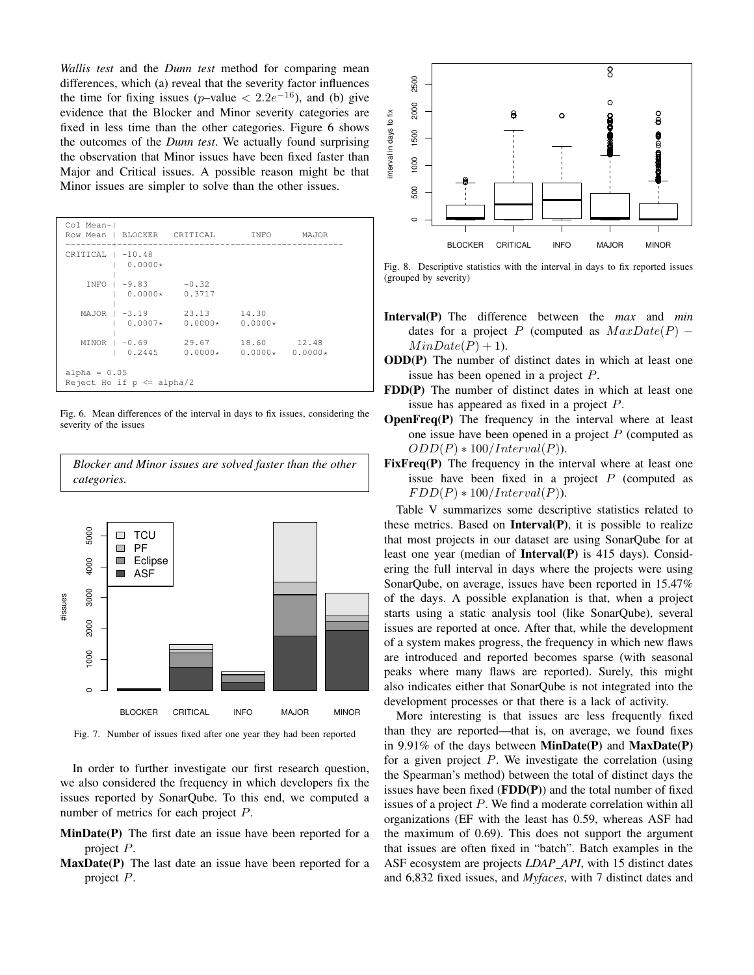*Wallis test* and the *Dunn test* method for comparing mean differences, which (a) reveal that the severity factor influences the time for fixing issues (p–value  $\lt 2.2e^{-16}$ ), and (b) give evidence that the Blocker and Minor severity categories are fixed in less time than the other categories. Figure [6](#page-5-2) shows the outcomes of the *Dunn test*. We actually found surprising the observation that Minor issues have been fixed faster than Major and Critical issues. A possible reason might be that Minor issues are simpler to solve than the other issues.

| Col Mean-                                        |                                            | Row Mean   BLOCKER    CRITICAL           INFO                                                  |  | MAJOR |  |  |
|--------------------------------------------------|--------------------------------------------|------------------------------------------------------------------------------------------------|--|-------|--|--|
| CRITICAL   -10.48                                | $0.0000*$                                  |                                                                                                |  |       |  |  |
|                                                  | $INFO$ $-9.83$ $-0.32$<br>$0.0000*$ 0.3717 |                                                                                                |  |       |  |  |
|                                                  |                                            | MAJOR   -3.19 23.13 14.30<br>$0.0007*$ 0.0000 $*$ 0.0000 $*$                                   |  |       |  |  |
|                                                  |                                            | MINOR   -0.69 29.67 18.60 12.48<br>$1\quad 0.2445\qquad 0.0000* \qquad 0.0000* \qquad 0.0000*$ |  |       |  |  |
| alpha = $0.05$<br>Reject Ho if $p \leq a$ lpha/2 |                                            |                                                                                                |  |       |  |  |

<span id="page-5-2"></span>Fig. 6. Mean differences of the interval in days to fix issues, considering the severity of the issues

*Blocker and Minor issues are solved faster than the other*

*categories.*



<span id="page-5-0"></span>Fig. 7. Number of issues fixed after one year they had been reported

In order to further investigate our first research question, we also considered the frequency in which developers fix the issues reported by SonarQube. To this end, we computed a number of metrics for each project P.

- MinDate(P) The first date an issue have been reported for a project P.
- MaxDate(P) The last date an issue have been reported for a project P.



<span id="page-5-1"></span>Fig. 8. Descriptive statistics with the interval in days to fix reported issues (grouped by severity)

- Interval(P) The difference between the *max* and *min* dates for a project P (computed as  $MaxDate(P)$  –  $MinDate(P) + 1$ .
- ODD(P) The number of distinct dates in which at least one issue has been opened in a project P.
- FDD(P) The number of distinct dates in which at least one issue has appeared as fixed in a project P.
- OpenFreq(P) The frequency in the interval where at least one issue have been opened in a project  $P$  (computed as  $ODD(P) * 100/Interval(P)$ .
- FixFreq(P) The frequency in the interval where at least one issue have been fixed in a project  $P$  (computed as  $FDD(P) * 100/Interval(P)$ ).

Table [V](#page-6-0) summarizes some descriptive statistics related to these metrics. Based on **Interval** $(P)$ , it is possible to realize that most projects in our dataset are using SonarQube for at least one year (median of Interval(P) is 415 days). Considering the full interval in days where the projects were using SonarQube, on average, issues have been reported in 15.47% of the days. A possible explanation is that, when a project starts using a static analysis tool (like SonarQube), several issues are reported at once. After that, while the development of a system makes progress, the frequency in which new flaws are introduced and reported becomes sparse (with seasonal peaks where many flaws are reported). Surely, this might also indicates either that SonarQube is not integrated into the development processes or that there is a lack of activity.

More interesting is that issues are less frequently fixed than they are reported—that is, on average, we found fixes in 9.91% of the days between  $MinDate(P)$  and  $MaxDate(P)$ for a given project  $P$ . We investigate the correlation (using the Spearman's method) between the total of distinct days the issues have been fixed  $(FDD(P))$  and the total number of fixed issues of a project P. We find a moderate correlation within all organizations (EF with the least has 0.59, whereas ASF had the maximum of 0.69). This does not support the argument that issues are often fixed in "batch". Batch examples in the ASF ecosystem are projects *LDAP API*, with 15 distinct dates and 6,832 fixed issues, and *Myfaces*, with 7 distinct dates and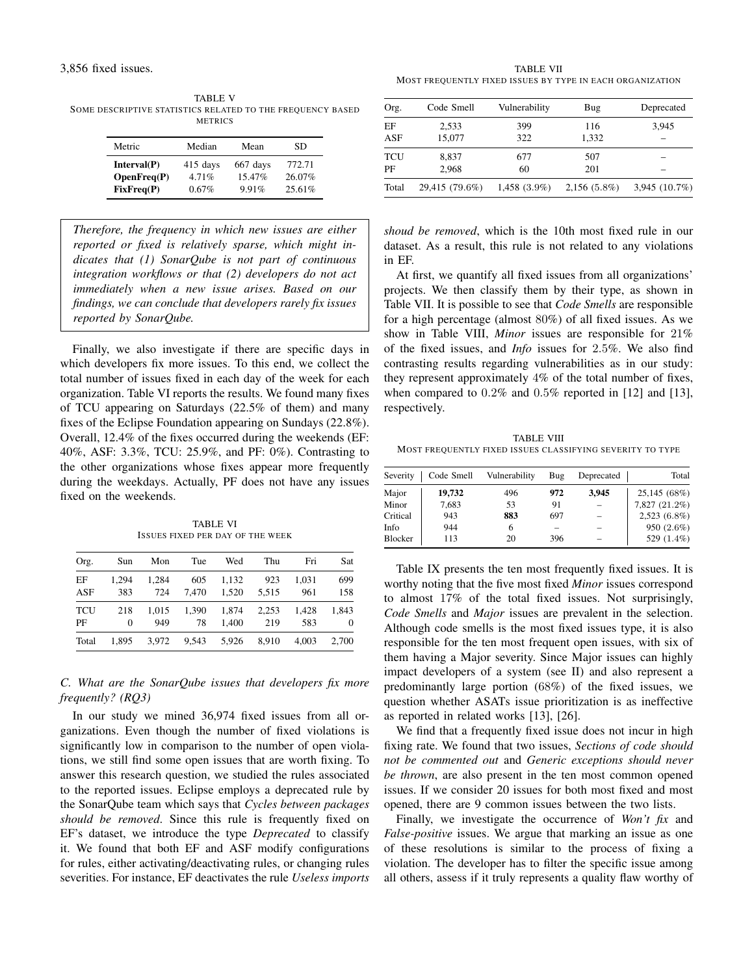<span id="page-6-0"></span>TABLE V SOME DESCRIPTIVE STATISTICS RELATED TO THE FREQUENCY BASED **METRICS** 

| Metric      | Median   | Mean      | SD.    |
|-------------|----------|-----------|--------|
| Interval(P) | 415 days | 667 days  | 772.71 |
| OpenFreq(P) | 4.71%    | $15.47\%$ | 26.07% |
| FixFreq(P)  | 0.67%    | 9.91%     | 25.61% |

*Therefore, the frequency in which new issues are either reported or fixed is relatively sparse, which might indicates that (1) SonarQube is not part of continuous integration workflows or that (2) developers do not act immediately when a new issue arises. Based on our findings, we can conclude that developers rarely fix issues reported by SonarQube.*

Finally, we also investigate if there are specific days in which developers fix more issues. To this end, we collect the total number of issues fixed in each day of the week for each organization. Table [VI](#page-6-1) reports the results. We found many fixes of TCU appearing on Saturdays (22.5% of them) and many fixes of the Eclipse Foundation appearing on Sundays (22.8%). Overall, 12.4% of the fixes occurred during the weekends (EF: 40%, ASF: 3.3%, TCU: 25.9%, and PF: 0%). Contrasting to the other organizations whose fixes appear more frequently during the weekdays. Actually, PF does not have any issues fixed on the weekends.

TABLE VI ISSUES FIXED PER DAY OF THE WEEK

<span id="page-6-1"></span>

| Org.       | Sun      | Mon   | Tue   | Wed   | Thu   | Fri   | Sat      |
|------------|----------|-------|-------|-------|-------|-------|----------|
| EF         | 1.294    | 1.284 | 605   | 1.132 | 923   | 1.031 | 699      |
| ASF        | 383      | 724   | 7.470 | 1.520 | 5.515 | 961   | 158      |
| <b>TCU</b> | 218      | 1.015 | 1.390 | 1.874 | 2.253 | 1.428 | 1.843    |
| PF         | $\Omega$ | 949   | 78    | 1.400 | 219   | 583   | $\Omega$ |
| Total      | 1.895    | 3.972 | 9.543 | 5.926 | 8.910 | 4.003 | 2.700    |

# *C. What are the SonarQube issues that developers fix more frequently? (RQ3)*

In our study we mined 36,974 fixed issues from all organizations. Even though the number of fixed violations is significantly low in comparison to the number of open violations, we still find some open issues that are worth fixing. To answer this research question, we studied the rules associated to the reported issues. [Eclipse](https://jira.sonarsource.com/browse/SONARJAVA-1717) employs a deprecated rule by the SonarQube team which says that *Cycles between packages should be removed*. Since this rule is frequently fixed on EF's dataset, we introduce the type *Deprecated* to classify it. We found that both EF and ASF modify configurations for rules, either activating/deactivating rules, or changing rules severities. For instance, EF deactivates the rule *Useless imports*

<span id="page-6-2"></span>TABLE VII MOST FREQUENTLY FIXED ISSUES BY TYPE IN EACH ORGANIZATION

| Org.  | Code Smell     | Vulnerability  | Bug            | Deprecated    |
|-------|----------------|----------------|----------------|---------------|
| EF    | 2,533          | 399            | 116            | 3,945         |
| ASF   | 15,077         | 322            | 1,332          |               |
| TCU   | 8,837          | 677            | 507            |               |
| PF    | 2,968          | 60             | 201            |               |
| Total | 29,415 (79.6%) | $1,458(3.9\%)$ | $2,156(5.8\%)$ | 3,945 (10.7%) |

*shoud be removed*, which is the 10th most fixed rule in our dataset. As a result, this rule is not related to any violations in EF.

At first, we quantify all fixed issues from all organizations' projects. We then classify them by their type, as shown in Table [VII.](#page-6-2) It is possible to see that *Code Smells* are responsible for a high percentage (almost 80%) of all fixed issues. As we show in Table [VIII,](#page-6-3) *Minor* issues are responsible for 21% of the fixed issues, and *Info* issues for 2.5%. We also find contrasting results regarding vulnerabilities as in our study: they represent approximately 4% of the total number of fixes, when compared to  $0.2\%$  and  $0.5\%$  reported in [\[12\]](#page-10-0) and [\[13\]](#page-10-1), respectively.

<span id="page-6-3"></span>TABLE VIII MOST FREQUENTLY FIXED ISSUES CLASSIFYING SEVERITY TO TYPE

| Severity | Code Smell | Vulnerability | Bug | Deprecated | Total           |
|----------|------------|---------------|-----|------------|-----------------|
| Major    | 19,732     | 496           | 972 | 3.945      | 25,145 (68%)    |
| Minor    | 7,683      | 53            | 91  |            | $7,827(21.2\%)$ |
| Critical | 943        | 883           | 697 |            | $2,523(6.8\%)$  |
| Info     | 944        | 6             |     |            | 950 (2.6%)      |
| Blocker  | 113        | 20            | 396 |            | 529 (1.4%)      |

Table [IX](#page-8-0) presents the ten most frequently fixed issues. It is worthy noting that the five most fixed *Minor* issues correspond to almost 17% of the total fixed issues. Not surprisingly, *Code Smells* and *Major* issues are prevalent in the selection. Although code smells is the most fixed issues type, it is also responsible for the ten most frequent open issues, with six of them having a Major severity. Since Major issues can highly impact developers of a system (see [II\)](#page-1-2) and also represent a predominantly large portion (68%) of the fixed issues, we question whether ASATs issue prioritization is as ineffective as reported in related works [\[13\]](#page-10-1), [\[26\]](#page-10-14).

We find that a frequently fixed issue does not incur in high fixing rate. We found that two issues, *Sections of code should not be commented out* and *Generic exceptions should never be thrown*, are also present in the ten most common opened issues. If we consider 20 issues for both most fixed and most opened, there are 9 common issues between the two lists.

Finally, we investigate the occurrence of *Won't fix* and *False-positive* issues. We argue that marking an issue as one of these resolutions is similar to the process of fixing a violation. The developer has to filter the specific issue among all others, assess if it truly represents a quality flaw worthy of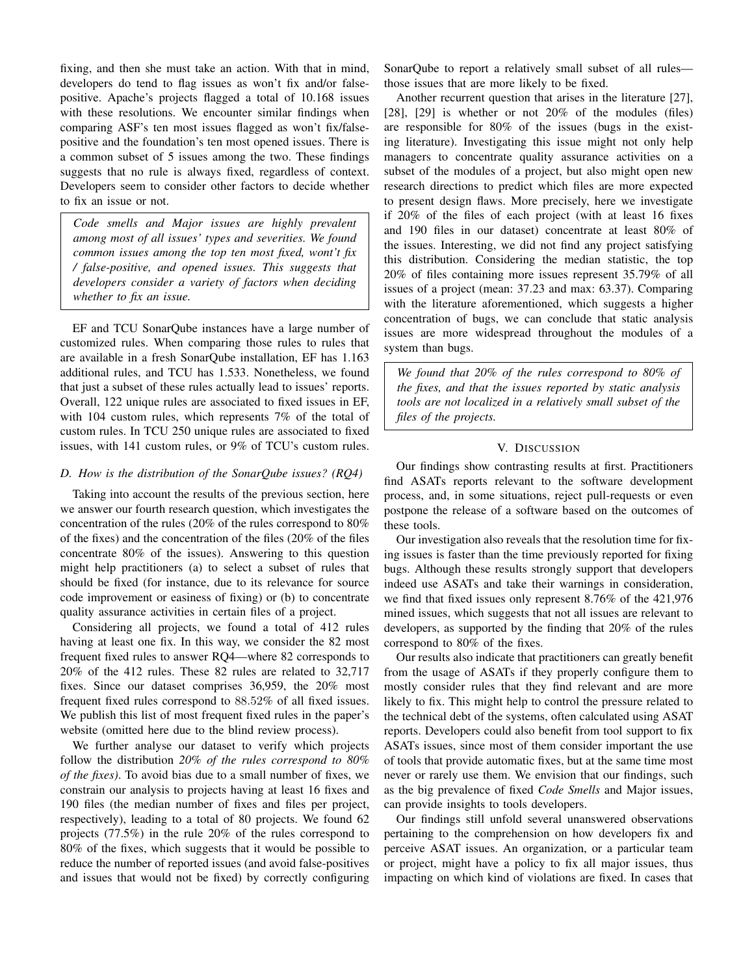fixing, and then she must take an action. With that in mind, developers do tend to flag issues as won't fix and/or falsepositive. Apache's projects flagged a total of 10.168 issues with these resolutions. We encounter similar findings when comparing ASF's ten most issues flagged as won't fix/falsepositive and the foundation's ten most opened issues. There is a common subset of 5 issues among the two. These findings suggests that no rule is always fixed, regardless of context. Developers seem to consider other factors to decide whether to fix an issue or not.

*Code smells and Major issues are highly prevalent among most of all issues' types and severities. We found common issues among the top ten most fixed, wont't fix / false-positive, and opened issues. This suggests that developers consider a variety of factors when deciding whether to fix an issue.*

EF and TCU SonarQube instances have a large number of customized rules. When comparing those rules to rules that are available in a fresh SonarQube installation, EF has 1.163 additional rules, and TCU has 1.533. Nonetheless, we found that just a subset of these rules actually lead to issues' reports. Overall, 122 unique rules are associated to fixed issues in EF, with 104 custom rules, which represents 7% of the total of custom rules. In TCU 250 unique rules are associated to fixed issues, with 141 custom rules, or 9% of TCU's custom rules.

## *D. How is the distribution of the SonarQube issues? (RQ4)*

Taking into account the results of the previous section, here we answer our fourth research question, which investigates the concentration of the rules (20% of the rules correspond to 80% of the fixes) and the concentration of the files (20% of the files concentrate 80% of the issues). Answering to this question might help practitioners (a) to select a subset of rules that should be fixed (for instance, due to its relevance for source code improvement or easiness of fixing) or (b) to concentrate quality assurance activities in certain files of a project.

Considering all projects, we found a total of 412 rules having at least one fix. In this way, we consider the 82 most frequent fixed rules to answer RQ4—where 82 corresponds to 20% of the 412 rules. These 82 rules are related to 32,717 fixes. Since our dataset comprises 36,959, the 20% most frequent fixed rules correspond to 88.52% of all fixed issues. We publish this list of most frequent fixed rules in the paper's website (omitted here due to the blind review process).

We further analyse our dataset to verify which projects follow the distribution *20% of the rules correspond to 80% of the fixes)*. To avoid bias due to a small number of fixes, we constrain our analysis to projects having at least 16 fixes and 190 files (the median number of fixes and files per project, respectively), leading to a total of 80 projects. We found 62 projects (77.5%) in the rule 20% of the rules correspond to 80% of the fixes, which suggests that it would be possible to reduce the number of reported issues (and avoid false-positives and issues that would not be fixed) by correctly configuring SonarQube to report a relatively small subset of all rules those issues that are more likely to be fixed.

Another recurrent question that arises in the literature [\[27\]](#page-10-15), [\[28\]](#page-10-16), [\[29\]](#page-10-17) is whether or not 20% of the modules (files) are responsible for 80% of the issues (bugs in the existing literature). Investigating this issue might not only help managers to concentrate quality assurance activities on a subset of the modules of a project, but also might open new research directions to predict which files are more expected to present design flaws. More precisely, here we investigate if 20% of the files of each project (with at least 16 fixes and 190 files in our dataset) concentrate at least 80% of the issues. Interesting, we did not find any project satisfying this distribution. Considering the median statistic, the top 20% of files containing more issues represent 35.79% of all issues of a project (mean: 37.23 and max: 63.37). Comparing with the literature aforementioned, which suggests a higher concentration of bugs, we can conclude that static analysis issues are more widespread throughout the modules of a system than bugs.

*We found that 20% of the rules correspond to 80% of the fixes, and that the issues reported by static analysis tools are not localized in a relatively small subset of the files of the projects.*

## V. DISCUSSION

Our findings show contrasting results at first. Practitioners find ASATs reports relevant to the software development process, and, in some situations, reject pull-requests or even postpone the release of a software based on the outcomes of these tools.

Our investigation also reveals that the resolution time for fixing issues is faster than the time previously reported for fixing bugs. Although these results strongly support that developers indeed use ASATs and take their warnings in consideration, we find that fixed issues only represent 8.76% of the 421,976 mined issues, which suggests that not all issues are relevant to developers, as supported by the finding that 20% of the rules correspond to 80% of the fixes.

Our results also indicate that practitioners can greatly benefit from the usage of ASATs if they properly configure them to mostly consider rules that they find relevant and are more likely to fix. This might help to control the pressure related to the technical debt of the systems, often calculated using ASAT reports. Developers could also benefit from tool support to fix ASATs issues, since most of them consider important the use of tools that provide automatic fixes, but at the same time most never or rarely use them. We envision that our findings, such as the big prevalence of fixed *Code Smells* and Major issues, can provide insights to tools developers.

Our findings still unfold several unanswered observations pertaining to the comprehension on how developers fix and perceive ASAT issues. An organization, or a particular team or project, might have a policy to fix all major issues, thus impacting on which kind of violations are fixed. In cases that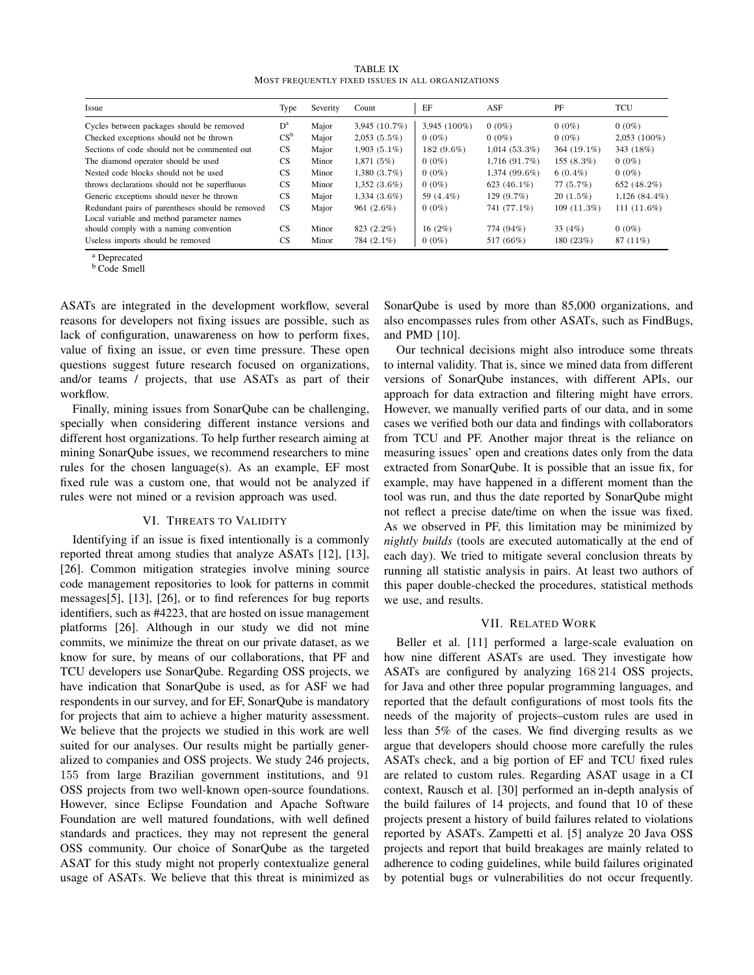TABLE IX MOST FREQUENTLY FIXED ISSUES IN ALL ORGANIZATIONS

<span id="page-8-0"></span>

| Issue                                                                                         | Type      | Severity | Count          | EF             | ASF             | PF             | TCU             |
|-----------------------------------------------------------------------------------------------|-----------|----------|----------------|----------------|-----------------|----------------|-----------------|
| Cycles between packages should be removed                                                     | $D^a$     | Major    | 3,945(10.7%)   | $3,945(100\%)$ | $0(0\%)$        | $0(0\%)$       | $0(0\%)$        |
| Checked exceptions should not be thrown                                                       | $CS^b$    | Major    | $2,053(5.5\%)$ | $0(0\%)$       | $0(0\%)$        | $0(0\%)$       | $2,053(100\%)$  |
| Sections of code should not be commented out                                                  | <b>CS</b> | Major    | $1,903(5.1\%)$ | $182(9.6\%)$   | $1,014(53.3\%)$ | 364 $(19.1\%)$ | 343 (18%)       |
| The diamond operator should be used                                                           | CS        | Minor    | 1,871(5%)      | $0(0\%)$       | 1,716 (91.7%)   | 155(8.3%)      | $0(0\%)$        |
| Nested code blocks should not be used                                                         | CS.       | Minor    | $1,380(3.7\%)$ | $0(0\%)$       | 1,374 (99.6%)   | $6(0.4\%)$     | $0(0\%)$        |
| throws declarations should not be superfluous                                                 | <b>CS</b> | Minor    | $1,352(3.6\%)$ | $0(0\%)$       | 623 $(46.1\%)$  | 77(5.7%)       | 652 (48.2%)     |
| Generic exceptions should never be thrown                                                     | CS        | Major    | $1,334(3.6\%)$ | 59 (4.4%)      | 129 (9.7%)      | $20(1.5\%)$    | $1,126(84.4\%)$ |
| Redundant pairs of parentheses should be removed<br>Local variable and method parameter names | <b>CS</b> | Major    | 961(2.6%)      | $0(0\%)$       | 741 (77.1%)     | 109(11.3%)     | $111(11.6\%)$   |
| should comply with a naming convention                                                        | CS        | Minor    | $823(2.2\%)$   | 16(2%)         | 774 (94%)       | 33 $(4%)$      | $0(0\%)$        |
| Useless imports should be removed                                                             | CS        | Minor    | 784 (2.1%)     | $0(0\%)$       | 517 (66%)       | 180 (23%)      | 87 (11%)        |

<sup>a</sup> Deprecated

<sup>b</sup> Code Smell

ASATs are integrated in the development workflow, several reasons for developers not fixing issues are possible, such as lack of configuration, unawareness on how to perform fixes, value of fixing an issue, or even time pressure. These open questions suggest future research focused on organizations, and/or teams / projects, that use ASATs as part of their workflow.

Finally, mining issues from SonarQube can be challenging, specially when considering different instance versions and different host organizations. To help further research aiming at mining SonarQube issues, we recommend researchers to mine rules for the chosen language(s). As an example, EF most fixed rule was a custom one, that would not be analyzed if rules were not mined or a revision approach was used.

## VI. THREATS TO VALIDITY

Identifying if an issue is fixed intentionally is a commonly reported threat among studies that analyze ASATs [\[12\]](#page-10-0), [\[13\]](#page-10-1), [\[26\]](#page-10-14). Common mitigation strategies involve mining source code management repositories to look for patterns in commit messages[\[5\]](#page-9-4), [\[13\]](#page-10-1), [\[26\]](#page-10-14), or to find references for bug reports identifiers, such as #4223, that are hosted on issue management platforms [\[26\]](#page-10-14). Although in our study we did not mine commits, we minimize the threat on our private dataset, as we know for sure, by means of our collaborations, that PF and TCU developers use SonarQube. Regarding OSS projects, we have indication that SonarQube is used, as for ASF we had respondents in our survey, and for EF, [SonarQube](https://wiki.eclipse.org/SonarQube) is mandatory for projects that aim to achieve a higher maturity assessment. We believe that the projects we studied in this work are well suited for our analyses. Our results might be partially generalized to companies and OSS projects. We study 246 projects, 155 from large Brazilian government institutions, and 91 OSS projects from two well-known open-source foundations. However, since Eclipse Foundation and Apache Software Foundation are well matured foundations, with well defined standards and practices, they may not represent the general OSS community. Our choice of SonarQube as the targeted ASAT for this study might not properly contextualize general usage of ASATs. We believe that this threat is minimized as SonarQube is used by more than 85,000 organizations, and also encompasses rules from other ASATs, such as FindBugs, and PMD [\[10\]](#page-9-9).

Our technical decisions might also introduce some threats to internal validity. That is, since we mined data from different versions of SonarQube instances, with different APIs, our approach for data extraction and filtering might have errors. However, we manually verified parts of our data, and in some cases we verified both our data and findings with collaborators from TCU and PF. Another major threat is the reliance on measuring issues' open and creations dates only from the data extracted from SonarQube. It is possible that an issue fix, for example, may have happened in a different moment than the tool was run, and thus the date reported by SonarQube might not reflect a precise date/time on when the issue was fixed. As we observed in PF, this limitation may be minimized by *nightly builds* (tools are executed automatically at the end of each day). We tried to mitigate several conclusion threats by running all statistic analysis in pairs. At least two authors of this paper double-checked the procedures, statistical methods we use, and results.

## VII. RELATED WORK

Beller et al. [\[11\]](#page-9-10) performed a large-scale evaluation on how nine different ASATs are used. They investigate how ASATs are configured by analyzing 168 214 OSS projects, for Java and other three popular programming languages, and reported that the default configurations of most tools fits the needs of the majority of projects–custom rules are used in less than 5% of the cases. We find diverging results as we argue that developers should choose more carefully the rules ASATs check, and a big portion of EF and TCU fixed rules are related to custom rules. Regarding ASAT usage in a CI context, Rausch et al. [\[30\]](#page-10-18) performed an in-depth analysis of the build failures of 14 projects, and found that 10 of these projects present a history of build failures related to violations reported by ASATs. Zampetti et al. [\[5\]](#page-9-4) analyze 20 Java OSS projects and report that build breakages are mainly related to adherence to coding guidelines, while build failures originated by potential bugs or vulnerabilities do not occur frequently.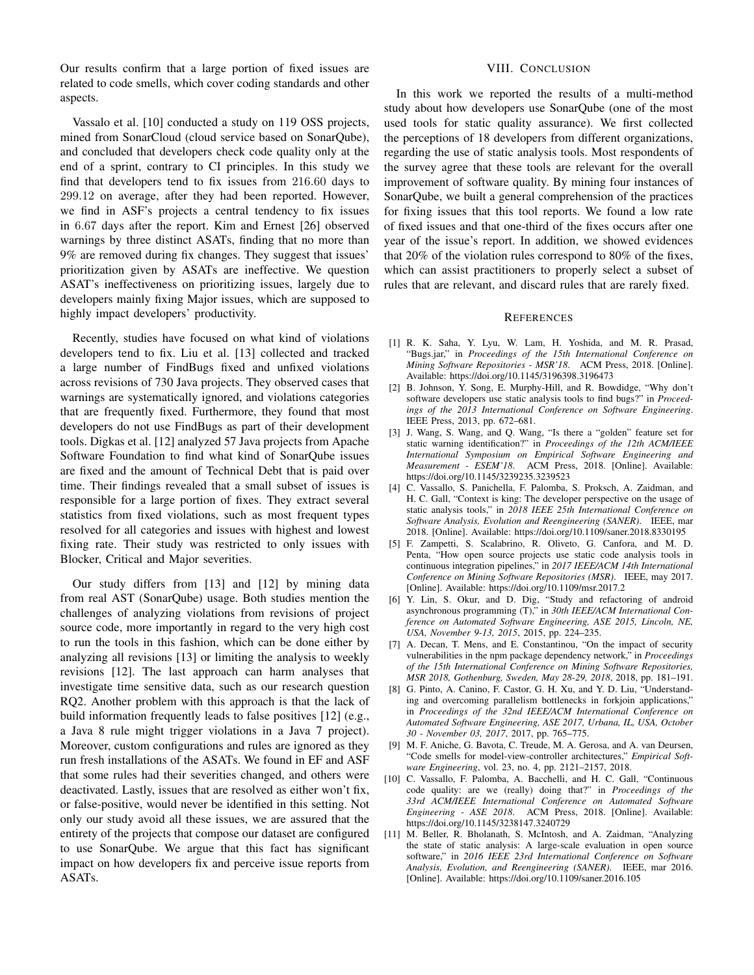Our results confirm that a large portion of fixed issues are related to code smells, which cover coding standards and other aspects.

Vassalo et al. [\[10\]](#page-9-9) conducted a study on 119 OSS projects, mined from SonarCloud (cloud service based on SonarQube), and concluded that developers check code quality only at the end of a sprint, contrary to CI principles. In this study we find that developers tend to fix issues from 216.60 days to 299.12 on average, after they had been reported. However, we find in ASF's projects a central tendency to fix issues in 6.67 days after the report. Kim and Ernest [\[26\]](#page-10-14) observed warnings by three distinct ASATs, finding that no more than 9% are removed during fix changes. They suggest that issues' prioritization given by ASATs are ineffective. We question ASAT's ineffectiveness on prioritizing issues, largely due to developers mainly fixing Major issues, which are supposed to highly impact developers' productivity.

Recently, studies have focused on what kind of violations developers tend to fix. Liu et al. [\[13\]](#page-10-1) collected and tracked a large number of FindBugs fixed and unfixed violations across revisions of 730 Java projects. They observed cases that warnings are systematically ignored, and violations categories that are frequently fixed. Furthermore, they found that most developers do not use FindBugs as part of their development tools. Digkas et al. [\[12\]](#page-10-0) analyzed 57 Java projects from Apache Software Foundation to find what kind of SonarQube issues are fixed and the amount of Technical Debt that is paid over time. Their findings revealed that a small subset of issues is responsible for a large portion of fixes. They extract several statistics from fixed violations, such as most frequent types resolved for all categories and issues with highest and lowest fixing rate. Their study was restricted to only issues with Blocker, Critical and Major severities.

Our study differs from [\[13\]](#page-10-1) and [\[12\]](#page-10-0) by mining data from real AST (SonarQube) usage. Both studies mention the challenges of analyzing violations from revisions of project source code, more importantly in regard to the very high cost to run the tools in this fashion, which can be done either by analyzing all revisions [\[13\]](#page-10-1) or limiting the analysis to weekly revisions [\[12\]](#page-10-0). The last approach can harm analyses that investigate time sensitive data, such as our research question RQ2. Another problem with this approach is that the lack of build information frequently leads to false positives [\[12\]](#page-10-0) (e.g., a Java 8 rule might trigger violations in a Java 7 project). Moreover, custom configurations and rules are ignored as they run fresh installations of the ASATs. We found in EF and ASF that some rules had their severities changed, and others were deactivated. Lastly, issues that are resolved as either won't fix, or false-positive, would never be identified in this setting. Not only our study avoid all these issues, we are assured that the entirety of the projects that compose our dataset are configured to use SonarQube. We argue that this fact has significant impact on how developers fix and perceive issue reports from ASATs.

## VIII. CONCLUSION

In this work we reported the results of a multi-method study about how developers use SonarQube (one of the most used tools for static quality assurance). We first collected the perceptions of 18 developers from different organizations, regarding the use of static analysis tools. Most respondents of the survey agree that these tools are relevant for the overall improvement of software quality. By mining four instances of SonarQube, we built a general comprehension of the practices for fixing issues that this tool reports. We found a low rate of fixed issues and that one-third of the fixes occurs after one year of the issue's report. In addition, we showed evidences that 20% of the violation rules correspond to 80% of the fixes, which can assist practitioners to properly select a subset of rules that are relevant, and discard rules that are rarely fixed.

#### **REFERENCES**

- <span id="page-9-0"></span>[1] R. K. Saha, Y. Lyu, W. Lam, H. Yoshida, and M. R. Prasad, "Bugs.jar," in *Proceedings of the 15th International Conference on Mining Software Repositories - MSR'18*. ACM Press, 2018. [Online]. Available:<https://doi.org/10.1145/3196398.3196473>
- <span id="page-9-1"></span>[2] B. Johnson, Y. Song, E. Murphy-Hill, and R. Bowdidge, "Why don't software developers use static analysis tools to find bugs?" in *Proceedings of the 2013 International Conference on Software Engineering*. IEEE Press, 2013, pp. 672–681.
- <span id="page-9-2"></span>[3] J. Wang, S. Wang, and Q. Wang, "Is there a "golden" feature set for static warning identification?" in *Proceedings of the 12th ACM/IEEE International Symposium on Empirical Software Engineering and Measurement - ESEM'18*. ACM Press, 2018. [Online]. Available: <https://doi.org/10.1145/3239235.3239523>
- <span id="page-9-3"></span>[4] C. Vassallo, S. Panichella, F. Palomba, S. Proksch, A. Zaidman, and H. C. Gall, "Context is king: The developer perspective on the usage of static analysis tools," in *2018 IEEE 25th International Conference on Software Analysis, Evolution and Reengineering (SANER)*. IEEE, mar 2018. [Online]. Available:<https://doi.org/10.1109/saner.2018.8330195>
- <span id="page-9-4"></span>[5] F. Zampetti, S. Scalabrino, R. Oliveto, G. Canfora, and M. D. Penta, "How open source projects use static code analysis tools in continuous integration pipelines," in *2017 IEEE/ACM 14th International Conference on Mining Software Repositories (MSR)*. IEEE, may 2017. [Online]. Available:<https://doi.org/10.1109/msr.2017.2>
- <span id="page-9-5"></span>[6] Y. Lin, S. Okur, and D. Dig, "Study and refactoring of android asynchronous programming (T)," in *30th IEEE/ACM International Conference on Automated Software Engineering, ASE 2015, Lincoln, NE, USA, November 9-13, 2015*, 2015, pp. 224–235.
- <span id="page-9-6"></span>[7] A. Decan, T. Mens, and E. Constantinou, "On the impact of security vulnerabilities in the npm package dependency network," in *Proceedings of the 15th International Conference on Mining Software Repositories, MSR 2018, Gothenburg, Sweden, May 28-29, 2018*, 2018, pp. 181–191.
- <span id="page-9-7"></span>[8] G. Pinto, A. Canino, F. Castor, G. H. Xu, and Y. D. Liu, "Understanding and overcoming parallelism bottlenecks in forkjoin applications," in *Proceedings of the 32nd IEEE/ACM International Conference on Automated Software Engineering, ASE 2017, Urbana, IL, USA, October 30 - November 03, 2017*, 2017, pp. 765–775.
- <span id="page-9-8"></span>[9] M. F. Aniche, G. Bavota, C. Treude, M. A. Gerosa, and A. van Deursen, "Code smells for model-view-controller architectures," *Empirical Software Engineering*, vol. 23, no. 4, pp. 2121–2157, 2018.
- <span id="page-9-9"></span>[10] C. Vassallo, F. Palomba, A. Bacchelli, and H. C. Gall, "Continuous code quality: are we (really) doing that?" in *Proceedings of the 33rd ACM/IEEE International Conference on Automated Software Engineering - ASE 2018*. ACM Press, 2018. [Online]. Available: <https://doi.org/10.1145/3238147.3240729>
- <span id="page-9-10"></span>[11] M. Beller, R. Bholanath, S. McIntosh, and A. Zaidman, "Analyzing the state of static analysis: A large-scale evaluation in open source software," in *2016 IEEE 23rd International Conference on Software Analysis, Evolution, and Reengineering (SANER)*. IEEE, mar 2016. [Online]. Available:<https://doi.org/10.1109/saner.2016.105>